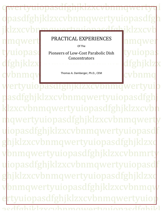pasdfghjklzxcvbn pasdfghjklzxcvbnmqwertyuiopasd mawertyuiopasdfahj nmqwert PRACTICAL EXPERIENCES hmqwer tyuiopasd Pioneers of Low-Cost Parabolic Dish tyuiopas fghjklzx**tingasdfghjklzx**  $\bf{v}$ bnma $\bf{v}$  and  $\bf{v}$ <sup>Thomas A. Damberger, Ph.D., CEM</sup> and  $\bf{cv}$ bnm $\bf{o}$ wertyuiopasdfghjklzxcvbnmqwertyuio pasdfghjklzxcvbnmqwertyuiopasdfghj klzxcvbnmqwertyuiopasdfghjklzxcvbn mqwertyuiopasdfghjklzxcvbnmqwerty uiopasdfghjklzxcvbnmqwertyuiopasdf ghjklzxcvbnmqwertyuiopasdfghjklzxc vbnmqwertyuiopasdfghjklzxcvbnmrty uiopasdfghjklzxcvbnmqwertyuiopasdf ghjklzxcvbnmqwertyuiopasdfghjklzxc vbnmqwertyuiopasdfghjklzxcvbnmqw ertyuiopasdfghjklzxcvbnmqwertyu aikl<del>z</del>ycuhnme Of The Concentrators Thomas A. Damberger, Ph.D., CEM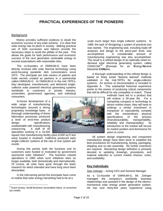# **PRACTICAL EXPERIENCES OF THE PIONEERS**

## **Background**

History provides sufficient evidence to doubt the economic success of any solar scheme. It is clear that solar energy has its place in society. Making practical use of both successes and failures provide the necessary steps to avoid the pitfalls of the past. This allows the goals for both performance and economic success of the next generation renewable energy to exceed expectations with reasonable risks.

The co-founders of OMNIUM-G have been directly involved with solar thermal technology using point-focusing parabolic dish concentrators since 1973. The principals are sole owners of patents and trade secrets created as partners in a partnership called OMNIUM-G. At OMNIUM-G in the mid 1970's, they developed, manufactured, and delivered singlecollector solar powered electrical generating systems worldwide to customers in private industry, universities, government agencies, and individual consumers.

In-house development of a wide range of manufacturing technologies assured a strong proprietary knowledge base. A thorough understanding of these fabrication processes produced a level of error-free product design specifications unobtainable with manufacturing outsourcing. A staff of 40 specialists working in a 16,000

square foot manufacturing facility (plus 8,000 sq ft test area) located in Anaheim, California produced early single-collector systems at the rate of one system per month.

During this period, both the business and its customers were funded or motivated by government sponsored solar initiatives**<sup>1</sup>** . The business ceased operations in 1982 when such initiatives were no longer available, both domestically and internationally. Of course, all units have gone through the basic research for which intended and have long since been dismantled.

In the intervening period the principals have come to realize that solar energy harvesting had to be at a

 $\overline{a}$ 



scale much larger than single collector systems. In 1989, the task of designing a system of practical size was started. The engineering task, including trade-off analyses and design to the piece-part level, was accomplished. A considerable amount of manufacturing engineering was also accomplished. The result is a refined design of an optimally sized ondemand solar electrical generating system, called CENICOMTM (**C**oncept for an **E**nergy-**N**eutral **I**ndustrial **COM**plex.

A thorough understanding of the refined design is based on finely tuned "lessons learned" methods validated in the mid-1970's for single-collector systems. An archive of documentation is included in Appendix A. This substantial historical experience points to the means of producing critical components that will be difficult for any competitor to match. These

> methods have led to a product that will endure a 30-year life. For a competing company or technology to attract market share, they will have to undergo a similar investment in manpower to equivalently compete with the extraordinary physical specifications of the process (manufacturability, transportability, reliability and maintainability). Its introduction to the market will secure its market position and dominance for years to come.

All system design engineering and component manufacture design have been done to establish the best procedures for manufacturing, testing, packaging, shipping and on-site assembly. No further inventions are required. Remaining design definition is primarily devoted to updating drawings, procedures, and material selection to current market choices, costs, and availability.

## **Key Individuals**

## Stan Zelinger – Acting CEO and General Manager

As a Co-founder of OMNIUM-G, Mr. Zelinger managed the company's worldwide business relationships and assisted in the design of the electromechanical solar energy power generation system. He has over thirty-five years experience using

**<sup>1</sup>** Grant money, Small Business Association loans, or consumer tax credits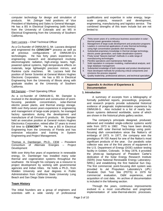computer technology for design and simulation of products. Mr. Zelinger held positions of Vice President of Marketing and Sales to General Manager. He has a BS in Electrical Engineering (with honors) from the University of Colorado and an MS in Electrical Engineering from the University of Southern California.

## Sam Lazzara – Chief Technical Officer

As a Co-founder of OMNIUM-G, Mr. Lazzara designed and engineered the *CENICOM*™ process as well as all previous configurations of OMNIUM-G's technologies. He has forty years experience in engineering research and development involving electromagnetic radiation, high-energy lasers, highpowered optical systems, high-temperature effects on materials, large lightweight precision mirrors, and Rankine cycle machines. Mr. Lazzara held the position of Senior Scientist at General Motors Hughes Electronic Corporation. He has a BS in Electrical Engineering from the University of Illinois along with graduate studies at the University of Southern California.

#### Bill Dampier – Chief Operating Officer

As a co-founder of OMNIUM-G, Mr. Dampier is involved in the development and construction of pointfocusing parabolic concentrators, solar-thermal electric power plants, and thermal energy storage. With over thirty-seven years experience in engineering and management of large-scale projects, he managed factory operations during the development and manufacture of all Omnium-G products. Mr. Dampier held an executive position at General motors Hughes Electronics Corporation, retired after 37 years to invest full time to *CENICOM*™. He has a BS in Electrical Engineering from the University of Florida and has extensive education and training in System Engineering and Project Management.

Thomas A. Damberger, Ph.D., CEM – President Consortium of Alternate Energies – Project Development

With over thirty-five years of experience in renewable energy, Dr. Damberger has installed many solar thermal and cogeneration systems throughout the southwest. He brought his company as a resource to project development by working with governmental agencies and Indian tribes. He holds a Ph.D., from Walden University and dual degrees in Public Administration from California State University Long Beach and San Diego State University.

## **Team History**

The initial founders are a group of engineers and scientists with a wide variety of professional qualifications and expertise in solar energy, largescale projects, research and development, engineering, manufacturing and logistics service. The combined strengths of this team include but are not limited to:

1. Thirty-seven years of a continuous business association in solarthermal power generation industry

- 2. Management of large-scale development and production programs
- 3. Leaders in commercial applications of solar thermal technology using high concentration parabolic dish technology
- 4. Substantial proprietary knowledge in thermal storage technology, electric power generation, and water desalination systems
- 5. Finely tuned "lessons learned" methods in a wide range of manufacturing technologies
- 6. Plentiful operations and maintenance field data
- 7. Solid reputation in computer modeling, mathematical analysis, and large database management
- 8. Substantial knowledge of both corporate and product development 9. Have developed methods for producing critical components and envisions the process required
- 10. Quality leadership, professional advisors, and technical specialists

#### **Appendix A–Archive of Experience & Documentation**

#### **1. Introduction**

A summary of excerpts from a bibliography of formally published reports, proceedings, proposals, and research projects provide substantial historical evidence of pragmatic implementation experience by OMNIUM-G. Also included is a list of nearly twodozen systems delivered worldwide, some of which are shown in the historical photo gallery section.

The company's principals designed, produced, delivered and installed single-collector systems world wide from 1973 to 1982. They have been directly involved with solar thermal technology using pointfocusing dish concentrators since the Nation's oil embargo of 1973. In 1977, the company won the prestigious IR-100 Award for one of the Nation's most significant products of the year. Our parabolic solar collector was one of the first pieces of equipment in the U.S. Department of Energy (DOE) outdoor testing facility in Golden, Colorado. In May 1978, it provided the photo-op background of President Carter's dedication of the Solar Energy Research Institute (SERI) (now National Renewable Energy Laboratory-NREL) and establishing the first National Sun Day. The first commercial, point-focusing dish system was provided to Jet Propulsion Laboratory's (JPL) Parabolic Dish Test Site (PDTS) in 1979 for commercial evaluation, O&M experience, and acquisition of cost data. An archive of documentation is included in the following section.

Through the years, continuous improvements evolved in a most cost-effective and pragmatic implementation of solar-thermal-electric processes.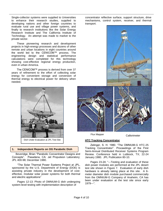Single-collector systems were supplied to Universities to enhance their research studies, supplied to developing nations and other foreign countries to evaluate rural use and village power systems, and finally to research institutions like the Solar Energy Research Institute and The California Institute of Technology. An attempt was made to market to the private sector.

These pioneering research and development projects in high-energy processes and dozens of other remote and urban locations in eight countries around the world led to the CENICOM™ process. The engineering design and statistical performance calculations were completed for this technology showing cost-effective regional energy production, even in urban America.

The CENICOM™ process is derived from over 37 years of refinement to the effort of collecting solar energy for convenient storage and conversion of thermal energy to electrical power for delivery when needed.



## **1. Independent Reports on OG Parabolic Dish**

 Beveridge, Brian "Parabolic Concentrator Designs and Concepts". Pasadena, CA: Jet Propulsion Laboratory; JPL 400-98; December 1980.

"The Solar Thermal Power Systems Project at JPL, sponsored by the U.S. Department of Energy (DOE) is assisting private industry in the development of costeffective, modular solar power systems for both thermal and electric applications"

Pages 12-13: Photo of OMNIUM-G dish undergoing system-level testing with implementation description of

concentrator reflective surface, support structure, drive mechanisms, control system, receiver, and thermal transport.



Flux Mapper Callorimeter

## **HTC Tracking Concentrator**

Zelinger, S. H. 1980. "The OMNIUM-G HTC-25 Tracking Concentrator". Proceedings of the First Semi-Annual Distributed Receiver Systems Program Review. Conference held in Lubbock, TX; 22-24 January 1980. JPL Publication 80-10.

Pages 23-24: "---Testing and evaluation of these dish power modules are performed at the JPL desert test site shown in Figure 7. Evaluation of early dish hardware is already taking place at this site. A 6 meter diameter dish module purchased commercially from the OMNIUM-G Company of Anaheim, CA has been under evaluation at the test site since early 1979---".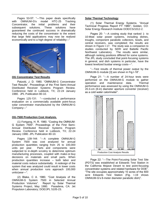Pages 53-57: "---This paper deals specifically with OMNIUM-G's model HTC-25 Tracking Concentrator, the initial problems and their subsequent solutions. These solutions have guaranteed the continued success in dramatically reducing the costs of the concentrator to the extent that large field applications may now be realized economically and to a high degree of reliability---"



#### **OG Concentrator Test Results**

Patzold, J. D. 1980. "OMNIUM-G Concentrator Test Results". Proceedings of the First Semi-Annual Distributed Receiver Systems Program Review. Conference held in Lubbock, TX; 22-24 January 1980. JPL Publication 80-10.

Pages 125-131: "---conducted a performance evaluation on a commercially available point-focus solar concentrator manufactured by the OMNIUM-G Company---"

## **OG-7500 Production Cost Analysis.**

(1) Fortgang, H. R. 1980. "Costing the OMNIUM-G System 7500". Proceedings of the First Semi-Annual Distributed Receiver Systems Program Review. Conference held in Lubbock, TX; 22-24 January 1980. JPL Publication 80-10.

Pages 139-144: "---A complete OMNIUM-G System 7500 was cost analyzed for annual production quantities ranging from 25 to 100,000 units per year. Parts and components were subjected to in-depth scrutiny to determine optimum manufacturing processes, coupled with make-or-buy decisions on materials and small parts. When production quantities increase – both labor and material costs reduce substantially. A redesign of the system that was analyzed could result in lower costs when annual production runs approach 100,000 units/year---".

(2) Blake, C A. 1980. "Cost Analysis of the OMNIUM-G System 7500 in Selected Annual Production Volumes". Report by Solar Thermal Systems Project, May 1980. Pasadena, CA: Jet Propulsion Laboratory; DOE/JPL 5105-23.

## **Solar Thermal Technology**

(1) Solar Thermal Energy Systems. "Annual Technical Progress Report FY 1980"; Golden, CO: Solar Energy Research Institute DOE/CS/1012-2.

Pages 20: "---A costing study that ranked 1- to 10-Mwe solar power systems, including dishes, troughs, component parabolic collectors, bowls, and central receivers, was completed; the results are shown in Figure I-17. The study was a companion to studies conducted by SERI and Battelle Pacific Northwest Laboratory. The results were similar, although ranking positions differed for some systems. The JPL study concluded that point-focusing systems in general, and dish systems in particular, have the lowest levelized busbar energy costs---".

"---Test results of thermal power output by the OMNIUM-G module [3] are shown in Fig.I-18".

Page 21: "---A number of 24-hour tests were performed on the OMNIUM-G module to gather operation and maintenance data. Thermal performance was assessed by using the OMNIUM-G 20.3-cm (8-in) diameter aperture converter (receiver) as a cold water calorimeter".



Page 22: "---The Point-Focusing Solar Test Site (PDTS) was established at Edwards Test Station in the California Mojave Desert to test point-focusing concentrator systems and related hardware for DOE". "The site occupies approximately 10 acres of the 600 acre Edwards Test Station (Fig. I-19 shows OMNIUM-G's 6-meter diameter parabolic dish)".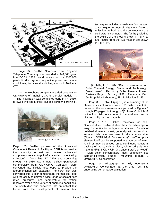

Page 32: "---The Southern New England Telephone Company was awarded a \$44,000 grant from DOE in 1979 toward construction of a \$100,000 parabolic dish system to provide power and space conditioning for a small switching station in Bethany, CT".

"---The telephone company awarded contracts to OMNIUM-G of Anaheim, CA for the dish module---". "---The installation was completed early in FY 1980, followed by system check-out and personnel training".



Page 103: "---The purpose of the Advanced Component Research Facility at SERI is to provide the capability to test and develop advanced components related to point-focus solar concentrating collectors". "---In late FY 1979 and continuing through FY 1980, two 6-meter dishes (purchased commercially from OMNIUM-G Company) were converted into flexible test loops to provide the aforementioned test capability. The north dish was converted into a high-temperature thermal test loop with the ability to deliver a wide range of coolant flow rates, pressures, and temperature for testing receivers over a wide variety of operating conditions. The south dish was converted into an optical test fixture with the development of several test

techniques including a real-time flux mapper, a technique for optical alignment (reverse reflection method), and the development of a cold-water calorimeter. The facility (including the OMNIUM-G dishes) is shown in Fig. 4-10 and results from the flux mapper are shown in Fig. 4-11".



(2) Jaffe, L. D. 1982. "Dish Concentrators for Solar Thermal Energy: Status and Technology Development". Report by Solar Thermal Power Systems Project, January 1982. Pasadena, CA: Jet Propulsion Laboratory; JPL Publication 81-43.

Page 8: "---Table 1 (page 8) is a summary of the characteristics of some current U.S. dish concentrator concepts; the concentrators are pictured in Figures 1 through 27 (pages 14 through 40)". Note: OMNIUM-G is the first dish concentrator to be evaluated and is pictured in Figure 1 on page 14.

Page 10-12: Optical materials for solar Concentrators. "---Metal sheet has the advantage of easy formability to doubly-curve shapes. Panels of polished aluminum sheet, generally with an anodized surface finish, have been used for dish concentrators (Figure 1 OMNIUM\_G Concentrator)". "---The optical element itself can be supported in a number of ways. A mirror may be placed on a continuous structural backing of metal, cellular glass, reinforced polymeric material (Fig. 1 OMNIUM G Concentrator), or wood". "---Dish solar concentrators most commonly use azimuth-elevation ("az-el") mounting (Figure 1 OMNIUM\_G Concentrator".

Page 14: Photograph of fully operational OMNIUM-G Concentrator at the JPL Test Site undergoing performance evaluation.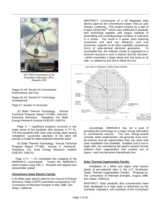

OG-7500 Concentrator at Jet Propulsion Laboratory (JPL), Edwards AFB

Pages 41-49: Section III Concentrator Performance and Cost

Pages 51-54: Section IV Technology **Development** 

Page 57: Section VI Summary

 (3) Solar Thermal Technology. "Annual Technical Progress Report FY1981; Volume1: Executive Summary". Pasadena, CA: Solar Energy Research Institute DOE/JPL-1060-53.

Page 5: "---significant progress occurred in two major areas of the parabolic dish program in FY 81. The first parabolic-dish solar total-energy plant neared completion; successful operation of the plant will provide a model for other potential industrial users".

 (4) Solar Thermal Technology. "Annual Technical Progress Report FY1981; Volume II: Technical". Pasadena, CA: Solar Energy Research Institute DOE/JPL-1060-53.

 Page 3-11: "---(7) Completed flux mapping of the OMNIUM-G concentrator. Tested the OMNIUM-G steam engine using TBC-1. Mounted and aligned new concentrator petals".

## **Chemehuevi Solar Electric Facility**

A 30 MWe solar electric plant for the Council of Energy Resource Tribes (CERT) submitted a proposal by The Consortium of Alternate Energies in May 1986, San Diego, California.

ABSTRACT: Construction of a 30 Megawatt solar electric plant for the Chemehuevi Indian Tribe at Lake Havasu, California. This project evolved as a part of Project CENICOM™ which uses OMNIUM-G parabolic dish technology together with unique methods of assembling and controlling large numbers of collectors in a cluster. The result is a power plant featuring conversion and land use efficiency, and cost economics superior to all other available conventional forms of solar-derived electrical generation. To accomplish this, the collector cluster is supported on a common structure in such a manner that the structure- --which resembles a large wheel and hub lying on its side---is rotated as one unit to follow the sun.



Accordingly, OMNIUM-G has set a goal of providing this technology as a major energy alternative to conventional sources. This new energy-neutral concept, when implemented, will generate more overall revenue and job opportunities than any other total solar installation now available. Installed cost is low to begin with, but considering the plant's several income streams---from cogeneration and creative use of space---real cost becomes dramatically less.

#### **Solar Thermal Cogeneration Facility**

Installation of 1 MWe and higher solar electric plants at pre-selected sites in the U.S. Southwest. "Solar Thermal Cogeneration Facility". Proposal by: The Consortium of Alternate Energies, August 1986, San Diego, California.

ABSTRACT: Solar parabolic dish concentrators have been developed to a high state of refinement by the scientists, engineers, and members of the Consortium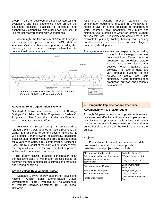group. Years of development, sophisticated testing, evaluation, and field experience have proven the equipment feasible, practical to construct, and economically competitive with other power sources. It is a market-ready resource with vast potential.

Accordingly, the Consortium of Alternate Energies and its proven project partner, OMNIUM-G of Anaheim, California, have set a goal of providing this technology as a major energy alternative to conventional power sources.



## **Advanced Solar Cogeneration Systems.**

Standard 1 MWe solar electric plant at Borrego Springs, CA. "Advanced Solar Cogeneration Systems". Proposal by: The Consortium of Alternate Energies, March 1984, San Diego, California.

ABSTRACT: System design is considered a "standard plant", well adapted for use throughout the world. It is designed to perform several functions. It will produce 1,000 kilowatts of electricity, desalinate brackish underground water, and provide residual heat for a variety of agricultural, commercial or residential uses. No by-product of the plant will go unused; even the very residue left from the water purification process will be sold as a fertilizer component.

 The facility utilizes parabolic concentrator solar thermal technology, a well-proven process based on common thermal, mechanical, electronic and materials engineering principles.

#### **African Village Development Project**

Standard 1 MWe energy clusters for developing nations. "African Solar Energy-Based Village Development Project". Proposal by: The Consortium of Alternate Energies, September 1987, San Diego, California.

ABSTRACT: Utilizing proven parabolic dish concentrator equipment, grouped in 1-Megawatt or higher arrays, in areas proximate to underground water sources, local inhabitants may purify and distribute vast quantities of water for farming, culinary or livestock uses. Electricity and waste heat is also available for pumping, lighting, heating, cooling or any number of other functions needed in basic village or community development.

The systems are modular and expandable, according

to need. Plant energy output may be shifted into different modes of production as conditions dictate. Around these power clusters may develop other facilities and projects. The over-all goal, and very probable outcome of this activity, is actual local selfsufficiency in water resources, food production, nutrition, and economic development.

## **2. Pragmatic Implementation Experience**

#### **Accomplishment & Breakthroughs.**

Through 30 years, continuous improvements evolved in a most cost effective and pragmatic implementation of solar thermal processes. It is a long and tedious road from the scientific experiment to where all may derive benefit and share in the wealth and welfare of an idea.

## **Projects.**

Plentiful operations and maintenance field data has been documented from the proposals, installations, and projects which include:

| African village development                  | CAE, San Diego, CA            |  |
|----------------------------------------------|-------------------------------|--|
| Solar thermal enhanced oil recovery          | EXXON, Pittsburgh, PA         |  |
| Parabolic dish solar thermal<br>cogeneration | CAE, San Diego, CA            |  |
| Solar power plant, 30 MWe                    | Chemehuevi Indian<br>Reserve  |  |
| Solar thermal power plant                    | Borrego Springs, CA           |  |
| Solder manufacturing process                 | Litton, Anaheim, CA           |  |
| Potato Chip Process                          | Laura Scuddar, Anaheim,<br>СA |  |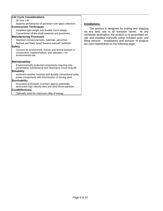## **Life Cycle Considerations**

30 Year Life

Superior performance of aluminum over glass collectors

## **Construction Techniques**

Simplified light-weight and durable mirror design Conventional off-the-shelf materials and processes

#### **Manufacturing Processes**

Standard commercial tools, materials, personnel Refined and finely tuned "lessons learned" methods

## **Safety**

Concern for environment, human and animal hazards in construction, implementation, and utilization—no environmental risk

#### **Maintainability**

Environmentally protected components requiring only preventative maintenance and cleaning to insure long life

#### **Reliability**

Inclement weather resistant and durable conventional utility power components with minimization of moving parts

## **Survivability**

Innovative techniques to protect against potentially destructive high velocity wind and wind-driven particles

#### **Cost/Effectively**

Optimally sized for maximum utility of energy

#### **Installations.**

The product is designed for crating and shipping via any land, sea or air transport carrier. At any worldwide destination, the product is re-assembled onsite and installed manually using included tools and lifting devices. Installations and pictures of projects are seen hyperlinked on the following page: